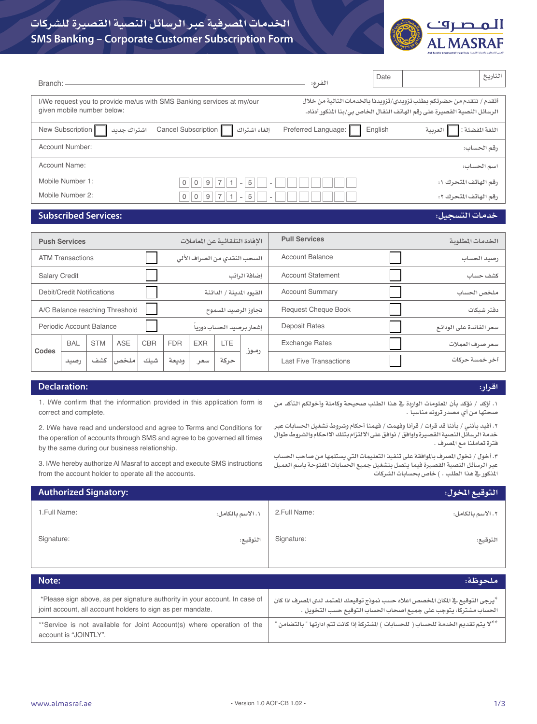

# **SMS Banking – Corporate Customer Subscription Form اخلدمات املصرفية عبر الرسائل النصية القصيرة للشركات**

| Branch:                                                                                             |                                                               | الفرع:                                                                                                                                           | Date    |                       | التاريخ         |  |  |
|-----------------------------------------------------------------------------------------------------|---------------------------------------------------------------|--------------------------------------------------------------------------------------------------------------------------------------------------|---------|-----------------------|-----------------|--|--|
| I/We request you to provide me/us with SMS Banking services at my/our<br>given mobile number below: |                                                               | أتقدم / نتقدم من حضرتكم بطلب تزويدي/تزويدنا بالخدمات التالية من خلال<br>الرسائل النصية القصيرة على رقم الهاتف النقال الخاص بي/بنا المنكور أدناه. |         |                       |                 |  |  |
| New Subscription<br>اشتراك جديد                                                                     | Cancel Subscription<br>إلغاء اشتراك                           | Preferred Language:                                                                                                                              | English | العربية               | اللغة المفضلة : |  |  |
| Account Number:                                                                                     |                                                               |                                                                                                                                                  |         |                       | رقم الحساب:     |  |  |
| Account Name:                                                                                       |                                                               |                                                                                                                                                  |         |                       | سم الحساب:      |  |  |
| Mobile Number 1:                                                                                    | 5<br>$\Omega$<br>0<br>9<br>$\overline{\phantom{a}}$           |                                                                                                                                                  |         | رقم الهاتف المتحرك ١: |                 |  |  |
| Mobile Number 2:                                                                                    | 5<br>$\overline{0}$<br>$9 \parallel$<br>0<br>$\sim$<br>$\sim$ |                                                                                                                                                  |         | رقم الهاتف المتحرك ٢: |                 |  |  |

## **Subscribed Services:**

### **خدمات التسجيل:**

|                                | <b>Push Services</b>    |                            |                      |                          |                              |            | الافادة التلقائية عن الماملات |                         | <b>Pull Services</b>          | الخدمات المطلوبة |
|--------------------------------|-------------------------|----------------------------|----------------------|--------------------------|------------------------------|------------|-------------------------------|-------------------------|-------------------------------|------------------|
|                                | <b>ATM Transactions</b> |                            |                      |                          | السحب النقدى من الصراف الألى |            |                               | <b>Account Balance</b>  | رصيد الحساب                   |                  |
| <b>Salary Credit</b>           |                         |                            |                      | إضافة الراتب             |                              |            | <b>Account Statement</b>      | کشف حساب                |                               |                  |
|                                |                         | Debit/Credit Notifications |                      | القبود المدينة / الدائنة |                              |            |                               |                         | <b>Account Summary</b>        | ملخص الحساب      |
| A/C Balance reaching Threshold |                         |                            | تجاوز الرصيد المسموح |                          |                              |            | <b>Request Cheque Book</b>    | دفتر شبكات              |                               |                  |
| Periodic Account Balance       |                         |                            |                      |                          | إشعار يرصيد الحساب دوريا     |            | <b>Deposit Rates</b>          | سعر الفائدة على الودائع |                               |                  |
| Codes                          | <b>BAL</b>              | <b>STM</b>                 | <b>ASE</b>           | <b>CBR</b>               | <b>FDR</b>                   | <b>EXR</b> | LTE                           | رموز                    | <b>Exchange Rates</b>         | سعر صرف العملات  |
|                                | رصيد                    | كشف                        | ملخص                 | شيك                      | وديعة                        | سعر        | حركة                          |                         | <b>Last Five Transactions</b> | آخر خمسة حركات   |
|                                |                         |                            |                      |                          |                              |            |                               |                         |                               |                  |

### **Declaration:**

# **اقرار: .١ أؤكد / نؤكد بأن املعلومات الواردة يف هذا الطلب صحيحة وكاملة وأخولكم التأكد من**

**املذكور يف هذا الطلب . ( خاص بحسابات الشركات**

**.٢ أفيد بأنني / بأننا قد قرات / قرأنا وفهمت / فهمنا أحكام وشروط تشغيل احلسابات عبر خدمة الرسائل النصية القصيرة واوافق / نوافق على االلتزام بتلك االاحكام والشروط طوال** 

**.٣ أخول / نخول املصرف باملوافقة على تنفيذ التعليمات التي يستلمها من صاحب احلساب عبر الرسائل النصية القصيرة فيما يتصل بتشغيل جميع احلسابات املفتوحة باسم العميل** 

**ً صحتها من أي مصدر ترونه مناسبا .**

**فترة تعاملنا مع املصرف .**

1. I/We confirm that the information provided in this application form is correct and complete.

2. I/We have read and understood and agree to Terms and Conditions for the operation of accounts through SMS and agree to be governed all times by the same during our business relationship.

3. I/We hereby authorize Al Masraf to accept and execute SMS instructions from the account holder to operate all the accounts.

| <b>Authorized Signatory:</b> |                   |              | التوقيع المخول:  |
|------------------------------|-------------------|--------------|------------------|
| 1. Full Name:                | ٠. الاسم بالكامل: | 2.Full Name: | ٠.١لاسم بالكامل: |
| Signature:                   | التوقيع:          | Signature:   | التوقيع:         |

| Note:                                                                                                                                    | ملحوظة:                                                                                                                                                          |
|------------------------------------------------------------------------------------------------------------------------------------------|------------------------------------------------------------------------------------------------------------------------------------------------------------------|
| *Please sign above, as per signature authority in your account. In case of<br>joint account, all account holders to sign as per mandate. | <sup>لا</sup> يرجي التوقيع ⊈ المكان المخصص اعلاه حسب نموذج توقيعك المعتمد لدى المصرف اذا كان<br>الحساب مشتركا، يتوجب على جميع اصحاب الحساب التوقيع حسب التخويل . |
| **Service is not available for Joint Account(s) where operation of the<br>account is "JOINTLY".                                          | **لا نتم تقديم الخدمة للحساب ( للحسابات ) المشتركة إذا كانت تتم ادارتها " بالتضامن '                                                                             |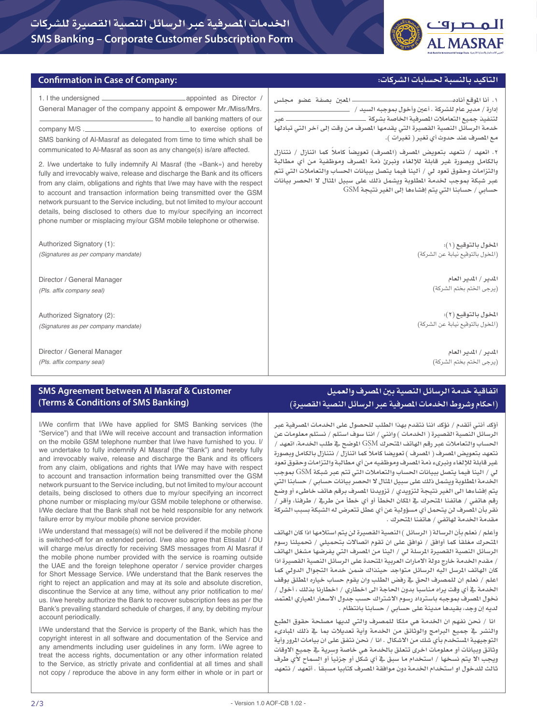

#### **التاكيد بالنسبة حلسابات الشركات:**

#### **Confirmation in Case of Company:**

| General Manager of the company appoint & empower Mr./Miss/Mrs.<br>to handle all banking matters of our<br>SMS banking of Al-Masraf as delegated from time to time which shall be<br>communicated to Al-Masraf as soon as any change(s) is/are affected.<br>2. I/we undertake to fully indemnify AI Masraf (the «Bank») and hereby<br>fully and irrevocably waive, release and discharge the Bank and its officers<br>from any claim, obligations and rights that I/we may have with the respect<br>to account and transaction information being transmitted over the GSM<br>network pursuant to the Service including, but not limited to my/our account<br>details, being disclosed to others due to my/our specifying an incorrect<br>phone number or misplacing my/our GSM mobile telephone or otherwise. | خدمة الرسائل النصية القصيرة التي يقدمها الصرف من وقت إلى آخر التي تبادلها<br>مع الصرف عند حدوث أي تغير ( تغيرات ).<br>٢. اتعهد / نتعهد بتعويض المصرف (المصرف) تعويضا كاملا كما اتنازل / نتنازل<br>بالكامل وبصورة غير قابلة للإلغاء ونبرئ ذمة المصرف وموظفية من أي مطالبة<br>والتزامات وحقوق تعود لي / ألينا فيما يتصل ببيانات الحساب والتعاملات التي تتم<br>عبر شبكة بموجب لخدمة المطلوبة ويشمل ذلك على سبيل المثال لا الحصر بيانات<br>حسابي / حسابنا التي يتم إفشاءها إلى الغير نتيجة GSM |
|--------------------------------------------------------------------------------------------------------------------------------------------------------------------------------------------------------------------------------------------------------------------------------------------------------------------------------------------------------------------------------------------------------------------------------------------------------------------------------------------------------------------------------------------------------------------------------------------------------------------------------------------------------------------------------------------------------------------------------------------------------------------------------------------------------------|--------------------------------------------------------------------------------------------------------------------------------------------------------------------------------------------------------------------------------------------------------------------------------------------------------------------------------------------------------------------------------------------------------------------------------------------------------------------------------------------|
| Authorized Signatory (1):                                                                                                                                                                                                                                                                                                                                                                                                                                                                                                                                                                                                                                                                                                                                                                                    | لخول بالتوقيع (١):                                                                                                                                                                                                                                                                                                                                                                                                                                                                         |
| (Signatures as per company mandate)                                                                                                                                                                                                                                                                                                                                                                                                                                                                                                                                                                                                                                                                                                                                                                          | (المخول بالتوقيع نيابة عن الشركة)                                                                                                                                                                                                                                                                                                                                                                                                                                                          |
| Director / General Manager                                                                                                                                                                                                                                                                                                                                                                                                                                                                                                                                                                                                                                                                                                                                                                                   | للدير / المدير العام                                                                                                                                                                                                                                                                                                                                                                                                                                                                       |
| (Pls. affix company seal)                                                                                                                                                                                                                                                                                                                                                                                                                                                                                                                                                                                                                                                                                                                                                                                    | (يرجى الختم بختم الشركة)                                                                                                                                                                                                                                                                                                                                                                                                                                                                   |
| Authorized Signatory (2):                                                                                                                                                                                                                                                                                                                                                                                                                                                                                                                                                                                                                                                                                                                                                                                    | المخول بالتوقيع (٢):                                                                                                                                                                                                                                                                                                                                                                                                                                                                       |
| (Signatures as per company mandate)                                                                                                                                                                                                                                                                                                                                                                                                                                                                                                                                                                                                                                                                                                                                                                          | (المخول بالتوقيع نيابة عن الشركة)                                                                                                                                                                                                                                                                                                                                                                                                                                                          |
| Director / General Manager                                                                                                                                                                                                                                                                                                                                                                                                                                                                                                                                                                                                                                                                                                                                                                                   | للدير / المدير العام                                                                                                                                                                                                                                                                                                                                                                                                                                                                       |
| (Pls. affix company seal)                                                                                                                                                                                                                                                                                                                                                                                                                                                                                                                                                                                                                                                                                                                                                                                    | (يرجى الختم بختم الشركة)                                                                                                                                                                                                                                                                                                                                                                                                                                                                   |

## **SMS Agreement between Al Masraf & Customer (Terms & Conditions of SMS Banking)**

I/We confirm that I/We have applied for SMS Banking services (the "Service") and that I/We will receive account and transaction information on the mobile GSM telephone number that I/we have furnished to you. I/ we undertake to fully indemnify Al Masraf (the "Bank") and hereby fully and irrevocably waive, release and discharge the Bank and its officers from any claim, obligations and rights that I/We may have with respect to account and transaction information being transmitted over the GSM network pursuant to the Service including, but not limited to my/our account details, being disclosed to others due to my/our specifying an incorrect phone number or misplacing my/our GSM mobile telephone or otherwise. I/We declare that the Bank shall not be held responsible for any network failure error by my/our mobile phone service provider.

I/We understand that message(s) will not be delivered if the mobile phone is switched-off for an extended period. I/we also agree that Etisalat / DU will charge me/us directly for receiving SMS messages from Al Masraf if the mobile phone number provided with the service is roaming outside the UAE and the foreign telephone operator / service provider charges for Short Message Service. I/We understand that the Bank reserves the right to reject an application and may at its sole and absolute discretion, discontinue the Service at any time, without any prior notification to me/ us. I/we hereby authorize the Bank to recover subscription fees as per the Bank's prevailing standard schedule of charges, if any, by debiting my/our account periodically.

I/We understand that the Service is property of the Bank, which has the copyright interest in all software and documentation of the Service and any amendments including user guidelines in any form. I/We agree to treat the access rights, documentation or any other information related to the Service, as strictly private and confidential at all times and shall not copy / reproduce the above in any form either in whole or in part or

# **اتفاقية خدمة الرسائل النصية بني املصرف والعميل )احكام وشروط اخلدمات املصرفية عبر الرسائل النصية القصيرة(**

**أؤكد أنني أتقدم / نؤكد اننا نتقدم بهذا الطلب للحصول على اخلدمات املصرفية عبر الرسائل النصية القصيرة ) اخلدمات ( وانني / اننا سوف استلم / نستلم معلومات عن احلساب والتعامالت عبر رقم الهاتف املتحرك** GSM **املوضح يف طلب اخلدمة، اتعهد / نتعهد بتعويض املصرف ) املصرف ( تعويضا ً كامال كما اتنازل / نتنازل بالكامل وبصورة غير قابلة لإللغاء ونبرىء ذمة املصرف وموظفيه من أي مطالبة والتزامات وحقوق تعود لي / الينا فيما يتصل ببيانات احلساب والتعامالت التي تتم عبر شبكة** GSM **مبوجب اخلدمة املطلوبة ويشمل ذلك على سبيل املثال ال احلصر بيانات حسابي / حسابنا التي يتم إفشاءها الى الغير نتيجة لتزويدي / تزويدنا املصرف برقم هاتف خاطىء أو وضع رقم هاتفي / هاتفنا املتحرك يف املكان اخلطأ أو أي خطأ من طريف / طرفنا، وأقر / نقر بأن املصرف لن يتحمل أي مسؤولية عن أي عطل تتعرض له الشبكة بسبب الشركة مقدمة اخلدمة لهاتفي / هاتفنا املتحرك .** 

**وأعلم / نعلم بأن الرسالة ) الرسائل ( النصية القصيرة لن يتم استالمها اذا كان الهاتف املتحرك ً مغلقا كما أوافق / نوافق على ان تقوم اتصاالت بتحميلي / حتميلنا رسوم الرسائل النصية القصيرة املرسلة لي / الينا من املصرف التي يفرضها مشغل الهاتف / مقدم اخلدمة خارج دولة االمارات العربية املتحدة على الرسائل النصية القصيرة اذا كان الهاتف املرسل اليه الرسائل متواجد حينذاك ضمن خدمة التجوال الدولي كما اعلم / نعلم ان للمصرف احلق يف رفض الطلب وان يقوم حساب خياره املطلق بوقف اخلدمة يف أي وقت يراه ً مناسبا بدون احلاجة الى اخطاري / اخطارنا بذلك ، أخول / نخول املصرف مبوجبه باسترداد رسوم االشتراك حسب جدول االسعار املعياري املعتمد لديه إن وجد، بقيدها مدينة على حسابي / حسابنا بانتظام .**

 **انا / نحن نفهم ان اخلدمة هي ملكا للمصرف والتي لديها مصلحة حقوق الطبع والنشر يف جميع البرامج والوثائق من اخلدمة وأية تعديالت مبا يف ذلك املبادىء التوجيهية املستخدم بأي شك من االشكال . انا / نحن نتفق على ان بيامات املرور وأية وثائق وبيانات أو معلومات اخرى تتعلق باخلدمة هي خاصة وسرية يف جميع االوقات ويجب اال يتم نسخها / استخدام ما سبق يف أي شكل أو ً جزئيا أو السماح ألي طرف ثالث للدخول او استخدام اخلدمة دون موافقة املصرف كتابيا ً مسبقا . أتعهد / نتعهد**